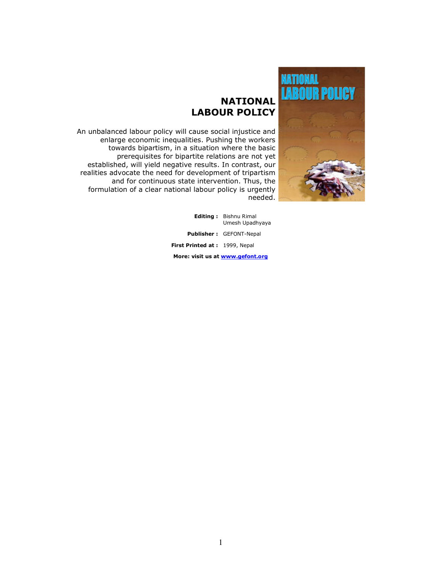

# **NATIONAL** LABOUR POLICY

An unbalanced labour policy will cause social injustice and enlarge economic inequalities. Pushing the workers towards bipartism, in a situation where the basic prerequisites for bipartite relations are not yet established, will yield negative results. In contrast, our realities advocate the need for development of tripartism and for continuous state intervention. Thus, the formulation of a clear national labour policy is urgently needed.

> Editing : Bishnu Rimal Umesh Upadhyaya Publisher : GEFONT-Nepal

First Printed at: 1999, Nepal

More: visit us at www.gefont.org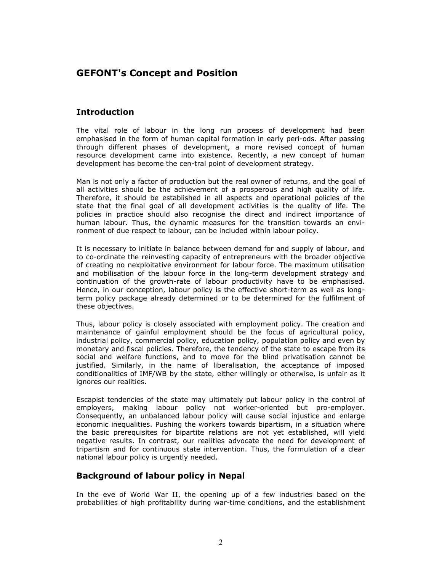## GEFONT's Concept and Position

### **Introduction**

The vital role of labour in the long run process of development had been emphasised in the form of human capital formation in early peri-ods. After passing through different phases of development, a more revised concept of human resource development came into existence. Recently, a new concept of human development has become the cen-tral point of development strategy.

Man is not only a factor of production but the real owner of returns, and the goal of all activities should be the achievement of a prosperous and high quality of life. Therefore, it should be established in all aspects and operational policies of the state that the final goal of all development activities is the quality of life. The policies in practice should also recognise the direct and indirect importance of human labour. Thus, the dynamic measures for the transition towards an environment of due respect to labour, can be included within labour policy.

It is necessary to initiate in balance between demand for and supply of labour, and to co-ordinate the reinvesting capacity of entrepreneurs with the broader objective of creating no nexploitative environment for labour force. The maximum utilisation and mobilisation of the labour force in the long-term development strategy and continuation of the growth-rate of labour productivity have to be emphasised. Hence, in our conception, labour policy is the effective short-term as well as longterm policy package already determined or to be determined for the fulfilment of these objectives.

Thus, labour policy is closely associated with employment policy. The creation and maintenance of gainful employment should be the focus of agricultural policy, industrial policy, commercial policy, education policy, population policy and even by monetary and fiscal policies. Therefore, the tendency of the state to escape from its social and welfare functions, and to move for the blind privatisation cannot be justified. Similarly, in the name of liberalisation, the acceptance of imposed conditionalities of IMF/WB by the state, either willingly or otherwise, is unfair as it ignores our realities.

Escapist tendencies of the state may ultimately put labour policy in the control of employers, making labour policy not worker-oriented but pro-employer. Consequently, an unbalanced labour policy will cause social injustice and enlarge economic inequalities. Pushing the workers towards bipartism, in a situation where the basic prerequisites for bipartite relations are not yet established, will yield negative results. In contrast, our realities advocate the need for development of tripartism and for continuous state intervention. Thus, the formulation of a clear national labour policy is urgently needed.

### Background of labour policy in Nepal

In the eve of World War II, the opening up of a few industries based on the probabilities of high profitability during war-time conditions, and the establishment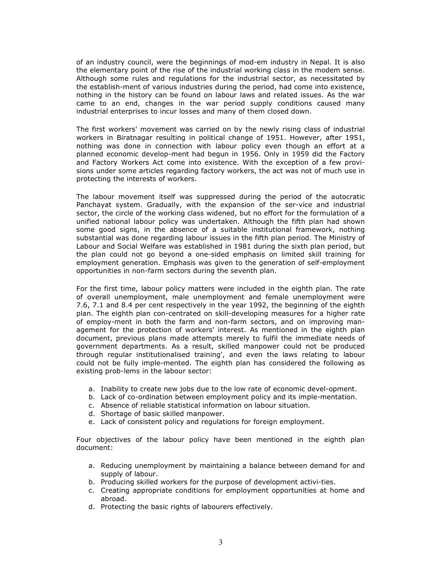of an industry council, were the beginnings of mod-em industry in Nepal. It is also the elementary point of the rise of the industrial working class in the modem sense. Although some rules and regulations for the industrial sector, as necessitated by the establish-ment of various industries during the period, had come into existence, nothing in the history can be found on labour laws and related issues. As the war came to an end, changes in the war period supply conditions caused many industrial enterprises to incur losses and many of them closed down.

The first workers' movement was carried on by the newly rising class of industrial workers in Biratnagar resulting in political change of 1951. However, after 1951, nothing was done in connection with labour policy even though an effort at a planned economic develop-ment had begun in 1956. Only in 1959 did the Factory and Factory Workers Act come into existence. With the exception of a few provisions under some articles regarding factory workers, the act was not of much use in protecting the interests of workers.

The labour movement itself was suppressed during the period of the autocratic Panchayat system. Gradually, with the expansion of the ser-vice and industrial sector, the circle of the working class widened, but no effort for the formulation of a unified national labour policy was undertaken. Although the fifth plan had shown some good signs, in the absence of a suitable institutional framework, nothing substantial was done regarding labour issues in the fifth plan period. The Ministry of Labour and Social Welfare was established in 1981 during the sixth plan period, but the plan could not go beyond a one-sided emphasis on limited skill training for employment generation. Emphasis was given to the generation of self-employment opportunities in non-farm sectors during the seventh plan.

For the first time, labour policy matters were included in the eighth plan. The rate of overall unemployment, male unemployment and female unemployment were 7.6, 7.1 and 8.4 per cent respectively in the year 1992, the beginning of the eighth plan. The eighth plan con-centrated on skill-developing measures for a higher rate of employ-ment in both the farm and non-farm sectors, and on improving management for the protection of workers' interest. As mentioned in the eighth plan document, previous plans made attempts merely to fulfil the immediate needs of government departments. As a result, skilled manpower could not be produced through regular institutionalised training', and even the laws relating to labour could not be fully imple-mented. The eighth plan has considered the following as existing prob-lems in the labour sector:

- a. Inability to create new jobs due to the low rate of economic devel-opment.
- b. Lack of co-ordination between employment policy and its imple-mentation.
- c. Absence of reliable statistical information on labour situation.
- d. Shortage of basic skilled manpower.
- e. Lack of consistent policy and regulations for foreign employment.

Four objectives of the labour policy have been mentioned in the eighth plan document:

- a. Reducing unemployment by maintaining a balance between demand for and supply of labour.
- b. Producing skilled workers for the purpose of development activi-ties.
- c. Creating appropriate conditions for employment opportunities at home and abroad.
- d. Protecting the basic rights of labourers effectively.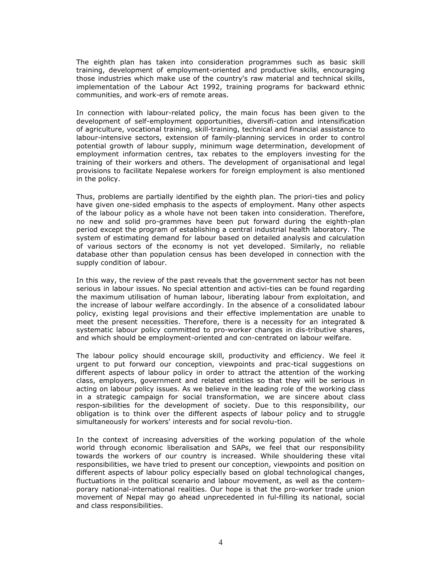The eighth plan has taken into consideration programmes such as basic skill training, development of employment-oriented and productive skills, encouraging those industries which make use of the country's raw material and technical skills, implementation of the Labour Act 1992, training programs for backward ethnic communities, and work-ers of remote areas.

In connection with labour-related policy, the main focus has been given to the development of self-employment opportunities, diversifi-cation and intensification of agriculture, vocational training, skill-training, technical and financial assistance to labour-intensive sectors, extension of family-planning services in order to control potential growth of labour supply, minimum wage determination, development of employment information centres, tax rebates to the employers investing for the training of their workers and others. The development of organisational and legal provisions to facilitate Nepalese workers for foreign employment is also mentioned in the policy.

Thus, problems are partially identified by the eighth plan. The priori-ties and policy have given one-sided emphasis to the aspects of employment. Many other aspects of the labour policy as a whole have not been taken into consideration. Therefore, no new and solid pro-grammes have been put forward during the eighth-plan period except the program of establishing a central industrial health laboratory. The system of estimating demand for labour based on detailed analysis and calculation of various sectors of the economy is not yet developed. Similarly, no reliable database other than population census has been developed in connection with the supply condition of labour.

In this way, the review of the past reveals that the government sector has not been serious in labour issues. No special attention and activi-ties can be found regarding the maximum utilisation of human labour, liberating labour from exploitation, and the increase of labour welfare accordingly. In the absence of a consolidated labour policy, existing legal provisions and their effective implementation are unable to meet the present necessities. Therefore, there is a necessity for an integrated & systematic labour policy committed to pro-worker changes in dis-tributive shares, and which should be employment-oriented and con-centrated on labour welfare.

The labour policy should encourage skill, productivity and efficiency. We feel it urgent to put forward our conception, viewpoints and prac-tical suggestions on different aspects of labour policy in order to attract the attention of the working class, employers, government and related entities so that they will be serious in acting on labour policy issues. As we believe in the leading role of the working class in a strategic campaign for social transformation, we are sincere about class respon-sibilities for the development of society. Due to this responsibility, our obligation is to think over the different aspects of labour policy and to struggle simultaneously for workers' interests and for social revolu-tion.

In the context of increasing adversities of the working population of the whole world through economic liberalisation and SAPs, we feel that our responsibility towards the workers of our country is increased. While shouldering these vital responsibilities, we have tried to present our conception, viewpoints and position on different aspects of labour policy especially based on global technological changes, fluctuations in the political scenario and labour movement, as well as the contemporary national-international realities. Our hope is that the pro-worker trade union movement of Nepal may go ahead unprecedented in ful-filling its national, social and class responsibilities.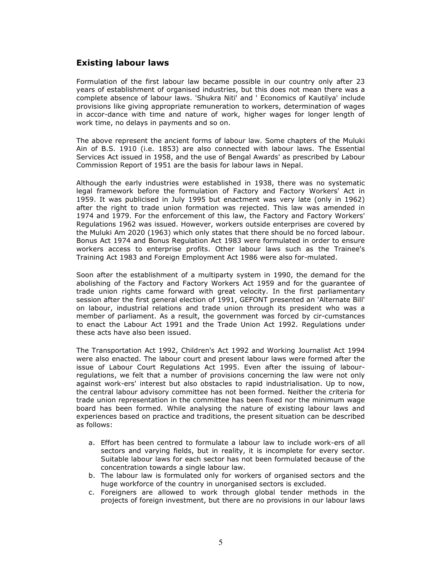### Existing labour laws

Formulation of the first labour law became possible in our country only after 23 years of establishment of organised industries, but this does not mean there was a complete absence of labour laws. 'Shukra Niti' and ' Economics of Kautilya' include provisions like giving appropriate remuneration to workers, determination of wages in accor-dance with time and nature of work, higher wages for longer length of work time, no delays in payments and so on.

The above represent the ancient forms of labour law. Some chapters of the Muluki Ain of B.S. 1910 (i.e. 1853) are also connected with labour laws. The Essential Services Act issued in 1958, and the use of Bengal Awards' as prescribed by Labour Commission Report of 1951 are the basis for labour laws in Nepal.

Although the early industries were established in 1938, there was no systematic legal framework before the formulation of Factory and Factory Workers' Act in 1959. It was publicised in July 1995 but enactment was very late (only in 1962) after the right to trade union formation was rejected. This law was amended in 1974 and 1979. For the enforcement of this law, the Factory and Factory Workers' Regulations 1962 was issued. However, workers outside enterprises are covered by the Muluki Am 2020 (1963) which only states that there should be no forced labour. Bonus Act 1974 and Bonus Regulation Act 1983 were formulated in order to ensure workers access to enterprise profits. Other labour laws such as the Trainee's Training Act 1983 and Foreign Employment Act 1986 were also for-mulated.

Soon after the establishment of a multiparty system in 1990, the demand for the abolishing of the Factory and Factory Workers Act 1959 and for the guarantee of trade union rights came forward with great velocity. In the first parliamentary session after the first general election of 1991, GEFONT presented an 'Alternate Bill' on labour, industrial relations and trade union through its president who was a member of parliament. As a result, the government was forced by cir-cumstances to enact the Labour Act 1991 and the Trade Union Act 1992. Regulations under these acts have also been issued.

The Transportation Act 1992, Children's Act 1992 and Working Journalist Act 1994 were also enacted. The labour court and present labour laws were formed after the issue of Labour Court Regulations Act 1995. Even after the issuing of labourregulations, we felt that a number of provisions concerning the law were not only against work-ers' interest but also obstacles to rapid industrialisation. Up to now, the central labour advisory committee has not been formed. Neither the criteria for trade union representation in the committee has been fixed nor the minimum wage board has been formed. While analysing the nature of existing labour laws and experiences based on practice and traditions, the present situation can be described as follows:

- a. Effort has been centred to formulate a labour law to include work-ers of all sectors and varying fields, but in reality, it is incomplete for every sector. Suitable labour laws for each sector has not been formulated because of the concentration towards a single labour law.
- b. The labour law is formulated only for workers of organised sectors and the huge workforce of the country in unorganised sectors is excluded.
- c. Foreigners are allowed to work through global tender methods in the projects of foreign investment, but there are no provisions in our labour laws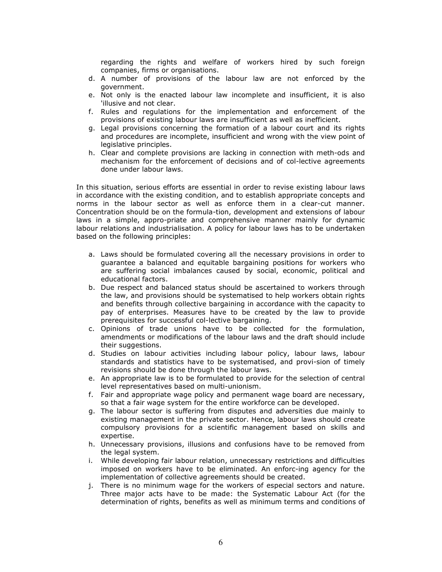regarding the rights and welfare of workers hired by such foreign companies, firms or organisations.

- d. A number of provisions of the labour law are not enforced by the government.
- e. Not only is the enacted labour law incomplete and insufficient, it is also 'illusive and not clear.
- f. Rules and regulations for the implementation and enforcement of the provisions of existing labour laws are insufficient as well as inefficient.
- g. Legal provisions concerning the formation of a labour court and its rights and procedures are incomplete, insufficient and wrong with the view point of legislative principles.
- h. Clear and complete provisions are lacking in connection with meth-ods and mechanism for the enforcement of decisions and of col-lective agreements done under labour laws.

In this situation, serious efforts are essential in order to revise existing labour laws in accordance with the existing condition, and to establish appropriate concepts and norms in the labour sector as well as enforce them in a clear-cut manner. Concentration should be on the formula-tion, development and extensions of labour laws in a simple, appro-priate and comprehensive manner mainly for dynamic labour relations and industrialisation. A policy for labour laws has to be undertaken based on the following principles:

- a. Laws should be formulated covering all the necessary provisions in order to guarantee a balanced and equitable bargaining positions for workers who are suffering social imbalances caused by social, economic, political and educational factors.
- b. Due respect and balanced status should be ascertained to workers through the law, and provisions should be systematised to help workers obtain rights and benefits through collective bargaining in accordance with the capacity to pay of enterprises. Measures have to be created by the law to provide prerequisites for successful col-lective bargaining.
- c. Opinions of trade unions have to be collected for the formulation, amendments or modifications of the labour laws and the draft should include their suggestions.
- d. Studies on labour activities including labour policy, labour laws, labour standards and statistics have to be systematised, and provi-sion of timely revisions should be done through the labour laws.
- e. An appropriate law is to be formulated to provide for the selection of central level representatives based on multi-unionism.
- f. Fair and appropriate wage policy and permanent wage board are necessary, so that a fair wage system for the entire workforce can be developed.
- g. The labour sector is suffering from disputes and adversities due mainly to existing management in the private sector. Hence, labour laws should create compulsory provisions for a scientific management based on skills and expertise.
- h. Unnecessary provisions, illusions and confusions have to be removed from the legal system.
- i. While developing fair labour relation, unnecessary restrictions and difficulties imposed on workers have to be eliminated. An enforc-ing agency for the implementation of collective agreements should be created.
- j. There is no minimum wage for the workers of especial sectors and nature. Three major acts have to be made: the Systematic Labour Act (for the determination of rights, benefits as well as minimum terms and conditions of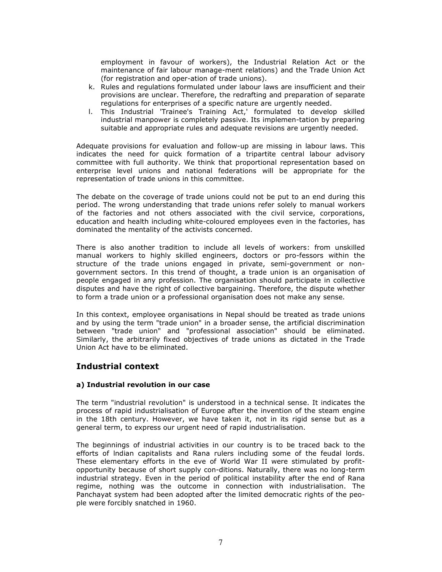employment in favour of workers), the Industrial Relation Act or the maintenance of fair labour manage-ment relations) and the Trade Union Act (for registration and oper-ation of trade unions).

- k. Rules and regulations formulated under labour laws are insufficient and their provisions are unclear. Therefore, the redrafting and preparation of separate regulations for enterprises of a specific nature are urgently needed.
- l. This Industrial 'Trainee's Training Act,' formulated to develop skilled industrial manpower is completely passive. Its implemen-tation by preparing suitable and appropriate rules and adequate revisions are urgently needed.

Adequate provisions for evaluation and follow-up are missing in labour laws. This indicates the need for quick formation of a tripartite central labour advisory committee with full authority. We think that proportional representation based on enterprise level unions and national federations will be appropriate for the representation of trade unions in this committee.

The debate on the coverage of trade unions could not be put to an end during this period. The wrong understanding that trade unions refer solely to manual workers of the factories and not others associated with the civil service, corporations, education and health including white-coloured employees even in the factories, has dominated the mentality of the activists concerned.

There is also another tradition to include all levels of workers: from unskilled manual workers to highly skilled engineers, doctors or pro-fessors within the structure of the trade unions engaged in private, semi-government or nongovernment sectors. In this trend of thought, a trade union is an organisation of people engaged in any profession. The organisation should participate in collective disputes and have the right of collective bargaining. Therefore, the dispute whether to form a trade union or a professional organisation does not make any sense.

In this context, employee organisations in Nepal should be treated as trade unions and by using the term "trade union" in a broader sense, the artificial discrimination between "trade union" and "professional association" should be eliminated. Similarly, the arbitrarily fixed objectives of trade unions as dictated in the Trade Union Act have to be eliminated.

### Industrial context

#### a) Industrial revolution in our case

The term "industrial revolution" is understood in a technical sense. It indicates the process of rapid industrialisation of Europe after the invention of the steam engine in the 18th century. However, we have taken it, not in its rigid sense but as a general term, to express our urgent need of rapid industrialisation.

The beginnings of industrial activities in our country is to be traced back to the efforts of lndian capitalists and Rana rulers including some of the feudal lords. These elementary efforts in the eve of World War II were stimulated by profitopportunity because of short supply con-ditions. Naturally, there was no long-term industrial strategy. Even in the period of political instability after the end of Rana regime, nothing was the outcome in connection with industrialisation. The Panchayat system had been adopted after the limited democratic rights of the people were forcibly snatched in 1960.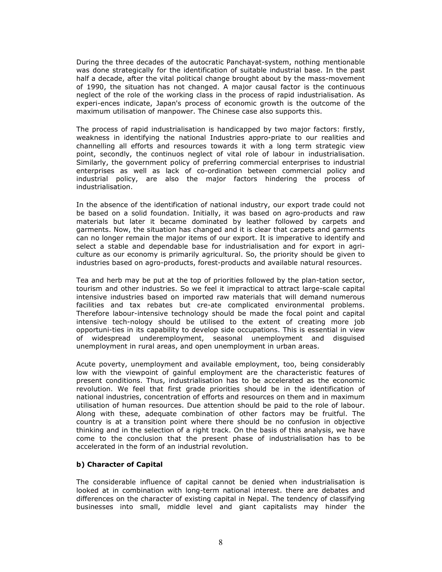During the three decades of the autocratic Panchayat-system, nothing mentionable was done strategically for the identification of suitable industrial base. In the past half a decade, after the vital political change brought about by the mass-movement of 1990, the situation has not changed. A major causal factor is the continuous neglect of the role of the working class in the process of rapid industrialisation. As experi-ences indicate, Japan's process of economic growth is the outcome of the maximum utilisation of manpower. The Chinese case also supports this.

The process of rapid industrialisation is handicapped by two major factors: firstly, weakness in identifying the national Industries appro-priate to our realities and channelling all efforts and resources towards it with a long term strategic view point, secondly, the continuos neglect of vital role of labour in industrialisation. Similarly, the government policy of preferring commercial enterprises to industrial enterprises as well as lack of co-ordination between commercial policy and industrial policy, are also the major factors hindering the process of industrialisation.

In the absence of the identification of national industry, our export trade could not be based on a solid foundation. Initially, it was based on agro-products and raw materials but later it became dominated by leather followed by carpets and garments. Now, the situation has changed and it is clear that carpets and garments can no longer remain the major items of our export. It is imperative to identify and select a stable and dependable base for industrialisation and for export in agriculture as our economy is primarily agricultural. So, the priority should be given to industries based on agro-products, forest-products and available natural resources.

Tea and herb may be put at the top of priorities followed by the plan-tation sector, tourism and other industries. So we feel it impractical to attract large-scale capital intensive industries based on imported raw materials that will demand numerous facilities and tax rebates but cre-ate complicated environmental problems. Therefore labour-intensive technology should be made the focal point and capital intensive tech-nology should be utilised to the extent of creating more job opportuni-ties in its capability to develop side occupations. This is essential in view of widespread underemployment, seasonal unemployment and disguised unemployment in rural areas, and open unemployment in urban areas.

Acute poverty, unemployment and available employment, too, being considerably low with the viewpoint of gainful employment are the characteristic features of present conditions. Thus, industrialisation has to be accelerated as the economic revolution. We feel that first grade priorities should be in the identification of national industries, concentration of efforts and resources on them and in maximum utilisation of human resources. Due attention should be paid to the role of labour. Along with these, adequate combination of other factors may be fruitful. The country is at a transition point where there should be no confusion in objective thinking and in the selection of a right track. On the basis of this analysis, we have come to the conclusion that the present phase of industrialisation has to be accelerated in the form of an industrial revolution.

#### b) Character of Capital

The considerable influence of capital cannot be denied when industrialisation is looked at in combination with long-term national interest. there are debates and differences on the character of existing capital in Nepal. The tendency of classifying businesses into small, middle level and giant capitalists may hinder the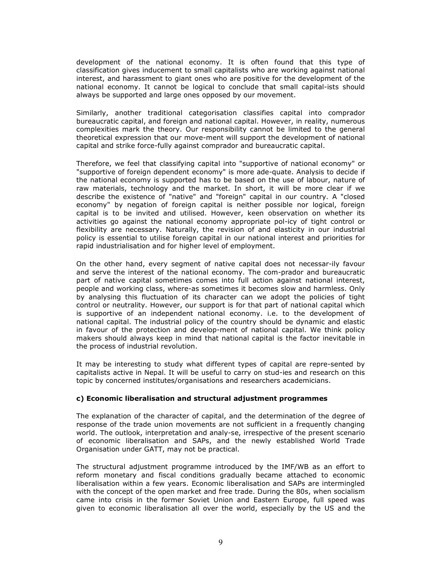development of the national economy. It is often found that this type of classification gives inducement to small capitalists who are working against national interest, and harassment to giant ones who are positive for the development of the national economy. It cannot be logical to conclude that small capital-ists should always be supported and large ones opposed by our movement.

Similarly, another traditional categorisation classifies capital into comprador bureaucratic capital, and foreign and national capital. However, in reality, numerous complexities mark the theory. Our responsibility cannot be limited to the general theoretical expression that our move-ment will support the development of national capital and strike force-fully against comprador and bureaucratic capital.

Therefore, we feel that classifying capital into "supportive of national economy" or "supportive of foreign dependent economy" is more ade-quate. Analysis to decide if the national economy is supported has to be based on the use of labour, nature of raw materials, technology and the market. In short, it will be more clear if we describe the existence of "native" and "foreign" capital in our country. A "closed economy" by negation of foreign capital is neither possible nor logical, foreign capital is to be invited and utilised. However, keen observation on whether its activities go against the national economy appropriate pol-icy of tight control or flexibility are necessary. Naturally, the revision of and elasticity in our industrial policy is essential to utilise foreign capital in our national interest and priorities for rapid industrialisation and for higher level of employment.

On the other hand, every segment of native capital does not necessar-ily favour and serve the interest of the national economy. The com-prador and bureaucratic part of native capital sometimes comes into full action against national interest, people and working class, where-as sometimes it becomes slow and harmless. Only by analysing this fluctuation of its character can we adopt the policies of tight control or neutrality. However, our support is for that part of national capital which is supportive of an independent national economy. i.e. to the development of national capital. The industrial policy of the country should be dynamic and elastic in favour of the protection and develop-ment of national capital. We think policy makers should always keep in mind that national capital is the factor inevitable in the process of industrial revolution.

It may be interesting to study what different types of capital are repre-sented by capitalists active in Nepal. It will be useful to carry on stud-ies and research on this topic by concerned institutes/organisations and researchers academicians.

#### c) Economic liberalisation and structural adjustment programmes

The explanation of the character of capital, and the determination of the degree of response of the trade union movements are not sufficient in a frequently changing world. The outlook, interpretation and analy-se, irrespective of the present scenario of economic liberalisation and SAPs, and the newly established World Trade Organisation under GATT, may not be practical.

The structural adjustment programme introduced by the IMF/WB as an effort to reform monetary and fiscal conditions gradually became attached to economic liberalisation within a few years. Economic liberalisation and SAPs are intermingled with the concept of the open market and free trade. During the 80s, when socialism came into crisis in the former Soviet Union and Eastern Europe, full speed was given to economic liberalisation all over the world, especially by the US and the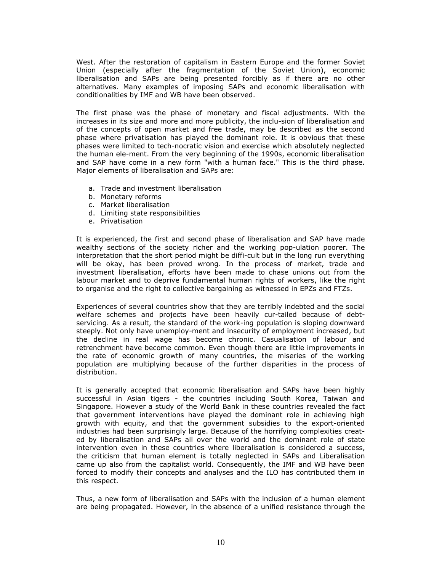West. After the restoration of capitalism in Eastern Europe and the former Soviet Union (especially after the fragmentation of the Soviet Union), economic liberalisation and SAPs are being presented forcibly as if there are no other alternatives. Many examples of imposing SAPs and economic liberalisation with conditionalities by IMF and WB have been observed.

The first phase was the phase of monetary and fiscal adjustments. With the increases in its size and more and more publicity, the inclu-sion of liberalisation and of the concepts of open market and free trade, may be described as the second phase where privatisation has played the dominant role. It is obvious that these phases were limited to tech-nocratic vision and exercise which absolutely neglected the human ele-ment. From the very beginning of the 1990s, economic liberalisation and SAP have come in a new form "with a human face." This is the third phase. Major elements of liberalisation and SAPs are:

- a. Trade and investment liberalisation
- b. Monetary reforms
- c. Market liberalisation
- d. Limiting state responsibilities
- e. Privatisation

It is experienced, the first and second phase of liberalisation and SAP have made wealthy sections of the society richer and the working pop-ulation poorer. The interpretation that the short period might be diffi-cult but in the long run everything will be okay, has been proved wrong. In the process of market, trade and investment liberalisation, efforts have been made to chase unions out from the labour market and to deprive fundamental human rights of workers, like the right to organise and the right to collective bargaining as witnessed in EPZs and FTZs.

Experiences of several countries show that they are terribly indebted and the social welfare schemes and projects have been heavily cur-tailed because of debtservicing. As a result, the standard of the work-ing population is sloping downward steeply. Not only have unemploy-ment and insecurity of employment increased, but the decline in real wage has become chronic. Casualisation of labour and retrenchment have become common. Even though there are little improvements in the rate of economic growth of many countries, the miseries of the working population are multiplying because of the further disparities in the process of distribution.

It is generally accepted that economic liberalisation and SAPs have been highly successful in Asian tigers - the countries including South Korea, Taiwan and Singapore. However a study of the World Bank in these countries revealed the fact that government interventions have played the dominant role in achieving high growth with equity, and that the government subsidies to the export-oriented industries had been surprisingly large. Because of the horrifying complexities created by liberalisation and SAPs all over the world and the dominant role of state intervention even in these countries where liberalisation is considered a success, the criticism that human element is totally neglected in SAPs and Liberalisation came up also from the capitalist world. Consequently, the IMF and WB have been forced to modify their concepts and analyses and the ILO has contributed them in this respect.

Thus, a new form of liberalisation and SAPs with the inclusion of a human element are being propagated. However, in the absence of a unified resistance through the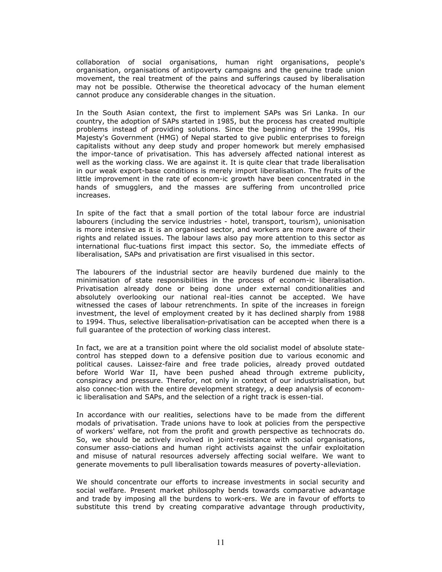collaboration of social organisations, human right organisations, people's organisation, organisations of antipoverty campaigns and the genuine trade union movement, the real treatment of the pains and sufferings caused by liberalisation may not be possible. Otherwise the theoretical advocacy of the human element cannot produce any considerable changes in the situation.

In the South Asian context, the first to implement SAPs was Sri Lanka. In our country, the adoption of SAPs started in 1985, but the process has created multiple problems instead of providing solutions. Since the beginning of the 1990s, His Majesty's Government (HMG) of Nepal started to give public enterprises to foreign capitalists without any deep study and proper homework but merely emphasised the impor-tance of privatisation. This has adversely affected national interest as well as the working class. We are against it. It is quite clear that trade liberalisation in our weak export-base conditions is merely import liberalisation. The fruits of the little improvement in the rate of econom-ic growth have been concentrated in the hands of smugglers, and the masses are suffering from uncontrolled price increases.

In spite of the fact that a small portion of the total labour force are industrial labourers (including the service industries - hotel, transport, tourism), unionisation is more intensive as it is an organised sector, and workers are more aware of their rights and related issues. The labour laws also pay more attention to this sector as international fluc-tuations first impact this sector. So, the immediate effects of liberalisation, SAPs and privatisation are first visualised in this sector.

The labourers of the industrial sector are heavily burdened due mainly to the minimisation of state responsibilities in the process of econom-ic liberalisation. Privatisation already done or being done under external conditionalities and absolutely overlooking our national real-ities cannot be accepted. We have witnessed the cases of labour retrenchments. In spite of the increases in foreign investment, the level of employment created by it has declined sharply from 1988 to 1994. Thus, selective liberalisation-privatisation can be accepted when there is a full guarantee of the protection of working class interest.

In fact, we are at a transition point where the old socialist model of absolute statecontrol has stepped down to a defensive position due to various economic and political causes. Laissez-faire and free trade policies, already proved outdated before World War II, have been pushed ahead through extreme publicity, conspiracy and pressure. Therefor, not only in context of our industrialisation, but also connec-tion with the entire development strategy, a deep analysis of economic liberalisation and SAPs, and the selection of a right track is essen-tial.

In accordance with our realities, selections have to be made from the different modals of privatisation. Trade unions have to look at policies from the perspective of workers' welfare, not from the profit and growth perspective as technocrats do. So, we should be actively involved in joint-resistance with social organisations, consumer asso-ciations and human right activists against the unfair exploitation and misuse of natural resources adversely affecting social welfare. We want to generate movements to pull liberalisation towards measures of poverty-alleviation.

We should concentrate our efforts to increase investments in social security and social welfare. Present market philosophy bends towards comparative advantage and trade by imposing all the burdens to work-ers. We are in favour of efforts to substitute this trend by creating comparative advantage through productivity,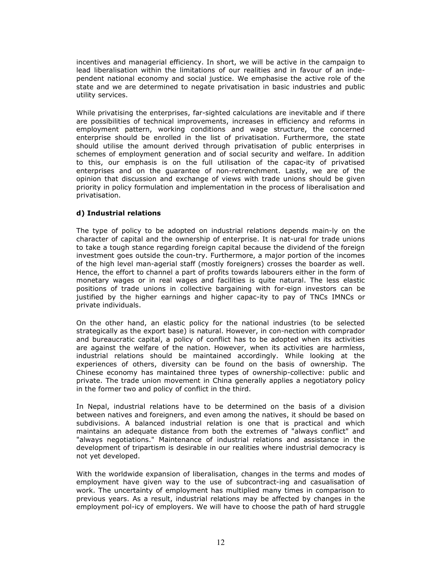incentives and managerial efficiency. In short, we will be active in the campaign to lead liberalisation within the limitations of our realities and in favour of an independent national economy and social justice. We emphasise the active role of the state and we are determined to negate privatisation in basic industries and public utility services.

While privatising the enterprises, far-sighted calculations are inevitable and if there are possibilities of technical improvements, increases in efficiency and reforms in employment pattern, working conditions and wage structure, the concerned enterprise should be enrolled in the list of privatisation. Furthermore, the state should utilise the amount derived through privatisation of public enterprises in schemes of employment generation and of social security and welfare. In addition to this, our emphasis is on the full utilisation of the capac-ity of privatised enterprises and on the guarantee of non-retrenchment. Lastly, we are of the opinion that discussion and exchange of views with trade unions should be given priority in policy formulation and implementation in the process of liberalisation and privatisation.

#### d) Industrial relations

The type of policy to be adopted on industrial relations depends main-ly on the character of capital and the ownership of enterprise. It is nat-ural for trade unions to take a tough stance regarding foreign capital because the dividend of the foreign investment goes outside the coun-try. Furthermore, a major portion of the incomes of the high level man-agerial staff (mostly foreigners) crosses the boarder as well. Hence, the effort to channel a part of profits towards labourers either in the form of monetary wages or in real wages and facilities is quite natural. The less elastic positions of trade unions in collective bargaining with for-eign investors can be justified by the higher earnings and higher capac-ity to pay of TNCs IMNCs or private individuals.

On the other hand, an elastic policy for the national industries (to be selected strategically as the export base) is natural. However, in con-nection with comprador and bureaucratic capital, a policy of conflict has to be adopted when its activities are against the welfare of the nation. However, when its activities are harmless, industrial relations should be maintained accordingly. While looking at the experiences of others, diversity can be found on the basis of ownership. The Chinese economy has maintained three types of ownership-collective: public and private. The trade union movement in China generally applies a negotiatory policy in the former two and policy of conflict in the third.

In Nepal, industrial relations have to be determined on the basis of a division between natives and foreigners, and even among the natives, it should be based on subdivisions. A balanced industrial relation is one that is practical and which maintains an adequate distance from both the extremes of "always conflict" and "always negotiations." Maintenance of industrial relations and assistance in the development of tripartism is desirable in our realities where industrial democracy is not yet developed.

With the worldwide expansion of liberalisation, changes in the terms and modes of employment have given way to the use of subcontract-ing and casualisation of work. The uncertainty of employment has multiplied many times in comparison to previous years. As a result, industrial relations may be affected by changes in the employment pol-icy of employers. We will have to choose the path of hard struggle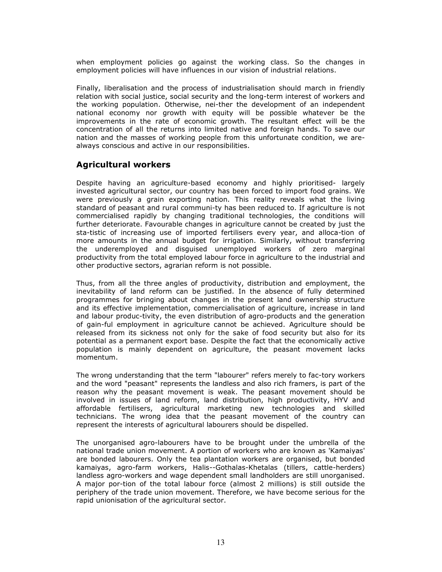when employment policies go against the working class. So the changes in employment policies will have influences in our vision of industrial relations.

Finally, liberalisation and the process of industrialisation should march in friendly relation with social justice, social security and the long-term interest of workers and the working population. Otherwise, nei-ther the development of an independent national economy nor growth with equity will be possible whatever be the improvements in the rate of economic growth. The resultant effect will be the concentration of all the returns into limited native and foreign hands. To save our nation and the masses of working people from this unfortunate condition, we arealways conscious and active in our responsibilities.

### Agricultural workers

Despite having an agriculture-based economy and highly prioritised- largely invested agricultural sector, our country has been forced to import food grains. We were previously a grain exporting nation. This reality reveals what the living standard of peasant and rural communi-ty has been reduced to. If agriculture is not commercialised rapidly by changing traditional technologies, the conditions will further deteriorate. Favourable changes in agriculture cannot be created by just the sta-tistic of increasing use of imported fertilisers every year, and alloca-tion of more amounts in the annual budget for irrigation. Similarly, without transferring the underemployed and disguised unemployed workers of zero marginal productivity from the total employed labour force in agriculture to the industrial and other productive sectors, agrarian reform is not possible.

Thus, from all the three angles of productivity, distribution and employment, the inevitability of land reform can be justified. In the absence of fully determined programmes for bringing about changes in the present land ownership structure and its effective implementation, commercialisation of agriculture, increase in land and labour produc-tivity, the even distribution of agro-products and the generation of gain-ful employment in agriculture cannot be achieved. Agriculture should be released from its sickness not only for the sake of food security but also for its potential as a permanent export base. Despite the fact that the economically active population is mainly dependent on agriculture, the peasant movement lacks momentum.

The wrong understanding that the term "labourer" refers merely to fac-tory workers and the word "peasant" represents the landless and also rich framers, is part of the reason why the peasant movement is weak. The peasant movement should be involved in issues of land reform, land distribution, high productivity, HYV and affordable fertilisers, agricultural marketing new technologies and skilled technicians. The wrong idea that the peasant movement of the country can represent the interests of agricultural labourers should be dispelled.

The unorganised agro-labourers have to be brought under the umbrella of the national trade union movement. A portion of workers who are known as 'Kamaiyas' are bonded labourers. Only the tea plantation workers are organised, but bonded kamaiyas, agro-farm workers, Halis--Gothalas-Khetalas (tillers, cattle-herders) landless agro-workers and wage dependent small landholders are still unorganised. A major por-tion of the total labour force (almost 2 millions) is still outside the periphery of the trade union movement. Therefore, we have become serious for the rapid unionisation of the agricultural sector.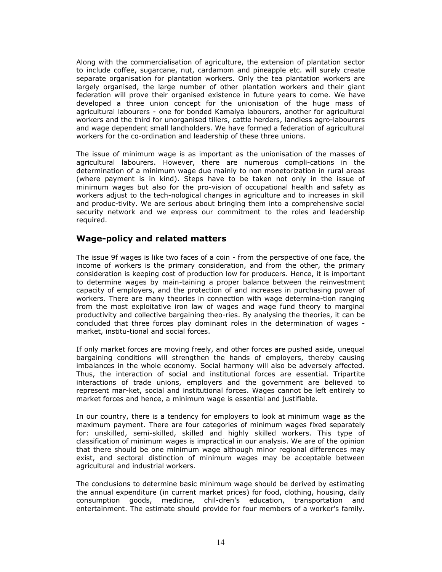Along with the commercialisation of agriculture, the extension of plantation sector to include coffee, sugarcane, nut, cardamom and pineapple etc. will surely create separate organisation for plantation workers. Only the tea plantation workers are largely organised, the large number of other plantation workers and their giant federation will prove their organised existence in future years to come. We have developed a three union concept for the unionisation of the huge mass of agricultural labourers - one for bonded Kamaiya labourers, another for agricultural workers and the third for unorganised tillers, cattle herders, landless agro-labourers and wage dependent small landholders. We have formed a federation of agricultural workers for the co-ordination and leadership of these three unions.

The issue of minimum wage is as important as the unionisation of the masses of agricultural labourers. However, there are numerous compli-cations in the determination of a minimum wage due mainly to non monetorization in rural areas (where payment is in kind). Steps have to be taken not only in the issue of minimum wages but also for the pro-vision of occupational health and safety as workers adjust to the tech-nological changes in agriculture and to increases in skill and produc-tivity. We are serious about bringing them into a comprehensive social security network and we express our commitment to the roles and leadership required.

#### Wage-policy and related matters

The issue 9f wages is like two faces of a coin - from the perspective of one face, the income of workers is the primary consideration, and from the other, the primary consideration is keeping cost of production low for producers. Hence, it is important to determine wages by main-taining a proper balance between the reinvestment capacity of employers, and the protection of and increases in purchasing power of workers. There are many theories in connection with wage determina-tion ranging from the most exploitative iron law of wages and wage fund theory to marginal productivity and collective bargaining theo-ries. By analysing the theories, it can be concluded that three forces play dominant roles in the determination of wages market, institu-tional and social forces.

If only market forces are moving freely, and other forces are pushed aside, unequal bargaining conditions will strengthen the hands of employers, thereby causing imbalances in the whole economy. Social harmony will also be adversely affected. Thus, the interaction of social and institutional forces are essential. Tripartite interactions of trade unions, employers and the government are believed to represent mar-ket, social and institutional forces. Wages cannot be left entirely to market forces and hence, a minimum wage is essential and justifiable.

In our country, there is a tendency for employers to look at minimum wage as the maximum payment. There are four categories of minimum wages fixed separately for: unskilled, semi-skilled, skilled and highly skilled workers. This type of classification of minimum wages is impractical in our analysis. We are of the opinion that there should be one minimum wage although minor regional differences may exist, and sectoral distinction of minimum wages may be acceptable between agricultural and industrial workers.

The conclusions to determine basic minimum wage should be derived by estimating the annual expenditure (in current market prices) for food, clothing, housing, daily consumption goods, medicine, chil-dren's education, transportation and entertainment. The estimate should provide for four members of a worker's family.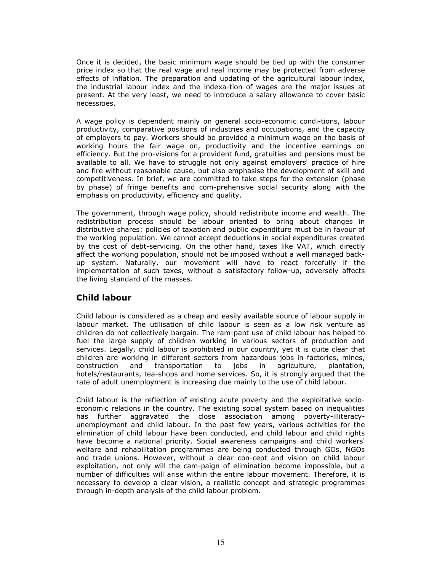Once it is decided, the basic minimum wage should be tied up with the consumer price index so that the real wage and real income may be protected from adverse effects of inflation. The preparation and updating of the agricultural labour index, the industrial labour index and the indexa-tion of wages are the major issues at present. At the very least, we need to introduce a salary allowance to cover basic necessities.

A wage policy is dependent mainly on general socio-economic condi-tions, labour productivity, comparative positions of industries and occupations, and the capacity of employers to pay. Workers should be provided a minimum wage on the basis of working hours the fair wage on, productivity and the incentive earnings on efficiency. But the pro-visions for a provident fund, gratuities and pensions must be available to all. We have to struggle not only against employers' practice of hire and fire without reasonable cause, but also emphasise the development of skill and competitiveness. In brief, we are committed to take steps for the extension (phase by phase) of fringe benefits and com-prehensive social security along with the emphasis on productivity, efficiency and quality.

The government, through wage policy, should redistribute income and wealth. The redistribution process should be labour oriented to bring about changes in distributive shares: policies of taxation and public expenditure must be in favour of the working population. We cannot accept deductions in social expenditures created by the cost of debt-servicing. On the other hand, taxes like VAT, which directly affect the working population, should not be imposed without a well managed backup system. Naturally, our movement will have to react forcefully if the implementation of such taxes, without a satisfactory follow-up, adversely affects the living standard of the masses.

### Child labour

Child labour is considered as a cheap and easily available source of labour supply in labour market. The utilisation of child labour is seen as a low risk venture as children do not collectively bargain. The ram-pant use of child labour has helped to fuel the large supply of children working in various sectors of production and services. Legally, child labour is prohibited in our country, yet it is quite clear that children are working in different sectors from hazardous jobs in factories, mines, construction and transportation to jobs in agriculture, plantation, hotels/restaurants, tea-shops and home services. So, it is strongly argued that the rate of adult unemployment is increasing due mainly to the use of child labour.

Child labour is the reflection of existing acute poverty and the exploitative socioeconomic relations in the country. The existing social system based on inequalities has further aggravated the close association among poverty-illiteracyunemployment and child labour. In the past few years, various activities for the elimination of child labour have been conducted, and child labour and child rights have become a national priority. Social awareness campaigns and child workers' welfare and rehabilitation programmes are being conducted through GOs, NGOs and trade unions. However, without a clear con-cept and vision on child labour exploitation, not only will the cam-paign of elimination become impossible, but a number of difficulties will arise within the entire labour movement. Therefore, it is necessary to develop a clear vision, a realistic concept and strategic programmes through in-depth analysis of the child labour problem.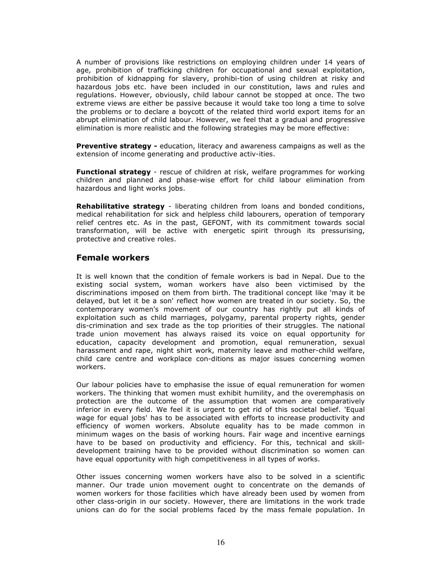A number of provisions like restrictions on employing children under 14 years of age, prohibition of trafficking children for occupational and sexual exploitation, prohibition of kidnapping for slavery, prohibi-tion of using children at risky and hazardous jobs etc. have been included in our constitution, laws and rules and regulations. However, obviously, child labour cannot be stopped at once. The two extreme views are either be passive because it would take too long a time to solve the problems or to declare a boycott of the related third world export items for an abrupt elimination of child labour. However, we feel that a gradual and progressive elimination is more realistic and the following strategies may be more effective:

**Preventive strategy -** education, literacy and awareness campaigns as well as the extension of income generating and productive activ-ities.

**Functional strategy** - rescue of children at risk, welfare programmes for working children and planned and phase-wise effort for child labour elimination from hazardous and light works jobs.

**Rehabilitative strategy** - liberating children from loans and bonded conditions, medical rehabilitation for sick and helpless child labourers, operation of temporary relief centres etc. As in the past, GEFONT, with its commitment towards social transformation, will be active with energetic spirit through its pressurising, protective and creative roles.

#### Female workers

It is well known that the condition of female workers is bad in Nepal. Due to the existing social system, woman workers have also been victimised by the discriminations imposed on them from birth. The traditional concept like 'may it be delayed, but let it be a son' reflect how women are treated in our society. So, the contemporary women's movement of our country has rightly put all kinds of exploitation such as child marriages, polygamy, parental property rights, gender dis-crimination and sex trade as the top priorities of their struggles. The national trade union movement has always raised its voice on equal opportunity for education, capacity development and promotion, equal remuneration, sexual harassment and rape, night shirt work, maternity leave and mother-child welfare, child care centre and workplace con-ditions as major issues concerning women workers.

Our labour policies have to emphasise the issue of equal remuneration for women workers. The thinking that women must exhibit humility, and the overemphasis on protection are the outcome of the assumption that women are comparatively inferior in every field. We feel it is urgent to get rid of this societal belief. 'Equal wage for equal jobs' has to be associated with efforts to increase productivity and efficiency of women workers. Absolute equality has to be made common in minimum wages on the basis of working hours. Fair wage and incentive earnings have to be based on productivity and efficiency. For this, technical and skilldevelopment training have to be provided without discrimination so women can have equal opportunity with high competitiveness in all types of works.

Other issues concerning women workers have also to be solved in a scientific manner. Our trade union movement ought to concentrate on the demands of women workers for those facilities which have already been used by women from other class-origin in our society. However, there are limitations in the work trade unions can do for the social problems faced by the mass female population. In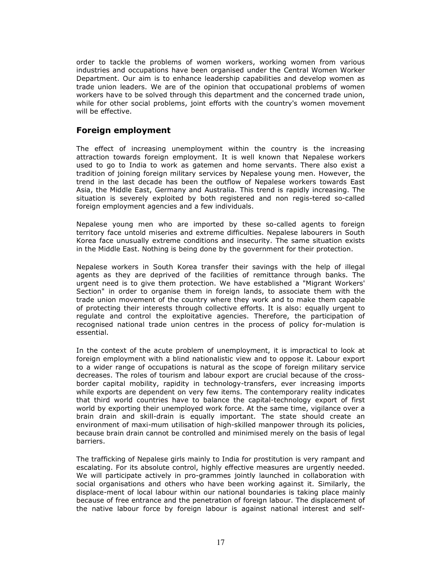order to tackle the problems of women workers, working women from various industries and occupations have been organised under the Central Women Worker Department. Our aim is to enhance leadership capabilities and develop women as trade union leaders. We are of the opinion that occupational problems of women workers have to be solved through this department and the concerned trade union, while for other social problems, joint efforts with the country's women movement will be effective.

### Foreign employment

The effect of increasing unemployment within the country is the increasing attraction towards foreign employment. It is well known that Nepalese workers used to go to India to work as gatemen and home servants. There also exist a tradition of joining foreign military services by Nepalese young men. However, the trend in the last decade has been the outflow of Nepalese workers towards East Asia, the Middle East, Germany and Australia. This trend is rapidly increasing. The situation is severely exploited by both registered and non regis-tered so-called foreign employment agencies and a few individuals.

Nepalese young men who are imported by these so-called agents to foreign territory face untold miseries and extreme difficulties. Nepalese labourers in South Korea face unusually extreme conditions and insecurity. The same situation exists in the Middle East. Nothing is being done by the government for their protection.

Nepalese workers in South Korea transfer their savings with the help of illegal agents as they are deprived of the facilities of remittance through banks. The urgent need is to give them protection. We have established a "Migrant Workers' Section" in order to organise them in foreign lands, to associate them with the trade union movement of the country where they work and to make them capable of protecting their interests through collective efforts. It is also: equally urgent to regulate and control the exploitative agencies. Therefore, the participation of recognised national trade union centres in the process of policy for-mulation is essential.

In the context of the acute problem of unemployment, it is impractical to look at foreign employment with a blind nationalistic view and to oppose it. Labour export to a wider range of occupations is natural as the scope of foreign military service decreases. The roles of tourism and labour export are crucial because of the crossborder capital mobility, rapidity in technology-transfers, ever increasing imports while exports are dependent on very few items. The contemporary reality indicates that third world countries have to balance the capital-technology export of first world by exporting their unemployed work force. At the same time, vigilance over a brain drain and skill-drain is equally important. The state should create an environment of maxi-mum utilisation of high-skilled manpower through its policies, because brain drain cannot be controlled and minimised merely on the basis of legal barriers.

The trafficking of Nepalese girls mainly to India for prostitution is very rampant and escalating. For its absolute control, highly effective measures are urgently needed. We will participate actively in pro-grammes jointly launched in collaboration with social organisations and others who have been working against it. Similarly, the displace-ment of local labour within our national boundaries is taking place mainly because of free entrance and the penetration of foreign labour. The displacement of the native labour force by foreign labour is against national interest and self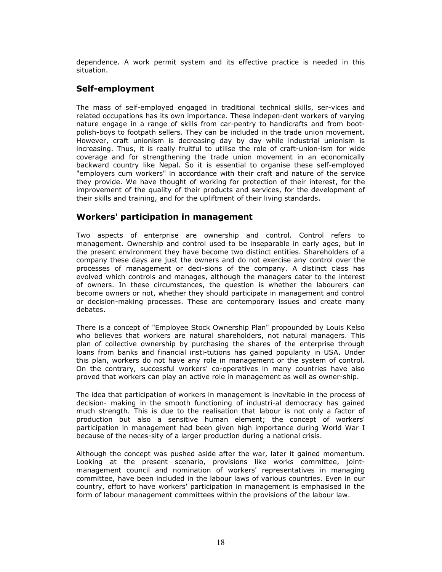dependence. A work permit system and its effective practice is needed in this situation.

### Self-employment

The mass of self-employed engaged in traditional technical skills, ser-vices and related occupations has its own importance. These indepen-dent workers of varying nature engage in a range of skills from car-pentry to handicrafts and from bootpolish-boys to footpath sellers. They can be included in the trade union movement. However, craft unionism is decreasing day by day while industrial unionism is increasing. Thus, it is really fruitful to utilise the role of craft-union-ism for wide coverage and for strengthening the trade union movement in an economically backward country like Nepal. So it is essential to organise these self-employed "employers cum workers" in accordance with their craft and nature of the service they provide. We have thought of working for protection of their interest, for the improvement of the quality of their products and services, for the development of their skills and training, and for the upliftment of their living standards.

### Workers' participation in management

Two aspects of enterprise are ownership and control. Control refers to management. Ownership and control used to be inseparable in early ages, but in the present environment they have become two distinct entities. Shareholders of a company these days are just the owners and do not exercise any control over the processes of management or deci-sions of the company. A distinct class has evolved which controls and manages, although the managers cater to the interest of owners. In these circumstances, the question is whether the labourers can become owners or not, whether they should participate in management and control or decision-making processes. These are contemporary issues and create many debates.

There is a concept of "Employee Stock Ownership Plan" propounded by Louis Kelso who believes that workers are natural shareholders, not natural managers. This plan of collective ownership by purchasing the shares of the enterprise through loans from banks and financial insti-tutions has gained popularity in USA. Under this plan, workers do not have any role in management or the system of control. On the contrary, successful workers' co-operatives in many countries have also proved that workers can play an active role in management as well as owner-ship.

The idea that participation of workers in management is inevitable in the process of decision- making in the smooth functioning of industri-al democracy has gained much strength. This is due to the realisation that labour is not only a factor of production but also a sensitive human element; the concept of workers' participation in management had been given high importance during World War I because of the neces-sity of a larger production during a national crisis.

Although the concept was pushed aside after the war, later it gained momentum. Looking at the present scenario, provisions like works committee, jointmanagement council and nomination of workers' representatives in managing committee, have been included in the labour laws of various countries. Even in our country, effort to have workers' participation in management is emphasised in the form of labour management committees within the provisions of the labour law.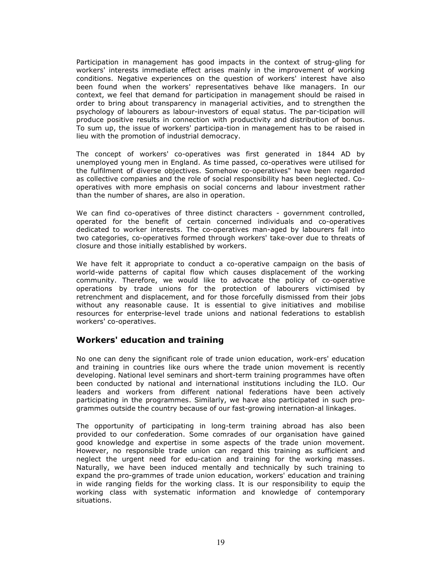Participation in management has good impacts in the context of strug-gling for workers' interests immediate effect arises mainly in the improvement of working conditions. Negative experiences on the question of workers' interest have also been found when the workers' representatives behave like managers. In our context, we feel that demand for participation in management should be raised in order to bring about transparency in managerial activities, and to strengthen the psychology of labourers as labour-investors of equal status. The par-ticipation will produce positive results in connection with productivity and distribution of bonus. To sum up, the issue of workers' participa-tion in management has to be raised in lieu with the promotion of industrial democracy.

The concept of workers' co-operatives was first generated in 1844 AD by unemployed young men in England. As time passed, co-operatives were utilised for the fulfilment of diverse objectives. Somehow co-operatives" have been regarded as collective companies and the role of social responsibility has been neglected. Cooperatives with more emphasis on social concerns and labour investment rather than the number of shares, are also in operation.

We can find co-operatives of three distinct characters - government controlled, operated for the benefit of certain concerned individuals and co-operatives dedicated to worker interests. The co-operatives man-aged by labourers fall into two categories, co-operatives formed through workers' take-over due to threats of closure and those initially established by workers.

We have felt it appropriate to conduct a co-operative campaign on the basis of world-wide patterns of capital flow which causes displacement of the working community. Therefore, we would like to advocate the policy of co-operative operations by trade unions for the protection of labourers victimised by retrenchment and displacement, and for those forcefully dismissed from their jobs without any reasonable cause. It is essential to give initiatives and mobilise resources for enterprise-level trade unions and national federations to establish workers' co-operatives.

### Workers' education and training

No one can deny the significant role of trade union education, work-ers' education and training in countries like ours where the trade union movement is recently developing. National level seminars and short-term training programmes have often been conducted by national and international institutions including the ILO. Our leaders and workers from different national federations have been actively participating in the programmes. Similarly, we have also participated in such programmes outside the country because of our fast-growing internation-al linkages.

The opportunity of participating in long-term training abroad has also been provided to our confederation. Some comrades of our organisation have gained good knowledge and expertise in some aspects of the trade union movement. However, no responsible trade union can regard this training as sufficient and neglect the urgent need for edu-cation and training for the working masses. Naturally, we have been induced mentally and technically by such training to expand the pro-grammes of trade union education, workers' education and training in wide ranging fields for the working class. It is our responsibility to equip the working class with systematic information and knowledge of contemporary situations.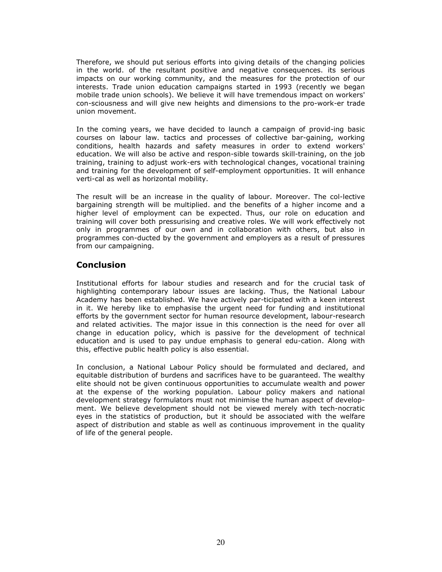Therefore, we should put serious efforts into giving details of the changing policies in the world. of the resultant positive and negative consequences. its serious impacts on our working community, and the measures for the protection of our interests. Trade union education campaigns started in 1993 (recently we began mobile trade union schools). We believe it will have tremendous impact on workers' con-sciousness and will give new heights and dimensions to the pro-work-er trade union movement.

In the coming years, we have decided to launch a campaign of provid-ing basic courses on labour law. tactics and processes of collective bar-gaining, working conditions, health hazards and safety measures in order to extend workers' education. We will also be active and respon-sible towards skill-training, on the job training, training to adjust work-ers with technological changes, vocational training and training for the development of self-employment opportunities. It will enhance verti-cal as well as horizontal mobility.

The result will be an increase in the quality of labour. Moreover. The col-lective bargaining strength will be multiplied. and the benefits of a higher income and a higher level of employment can be expected. Thus, our role on education and training will cover both pressurising and creative roles. We will work effectively not only in programmes of our own and in collaboration with others, but also in programmes con-ducted by the government and employers as a result of pressures from our campaigning.

### Conclusion

Institutional efforts for labour studies and research and for the crucial task of highlighting contemporary labour issues are lacking. Thus, the National Labour Academy has been established. We have actively par-ticipated with a keen interest in it. We hereby like to emphasise the urgent need for funding and institutional efforts by the government sector for human resource development, labour-research and related activities. The major issue in this connection is the need for over all change in education policy, which is passive for the development of technical education and is used to pay undue emphasis to general edu-cation. Along with this, effective public health policy is also essential.

In conclusion, a National Labour Policy should be formulated and declared, and equitable distribution of burdens and sacrifices have to be guaranteed. The wealthy elite should not be given continuous opportunities to accumulate wealth and power at the expense of the working population. Labour policy makers and national development strategy formulators must not minimise the human aspect of development. We believe development should not be viewed merely with tech-nocratic eyes in the statistics of production, but it should be associated with the welfare aspect of distribution and stable as well as continuous improvement in the quality of life of the general people.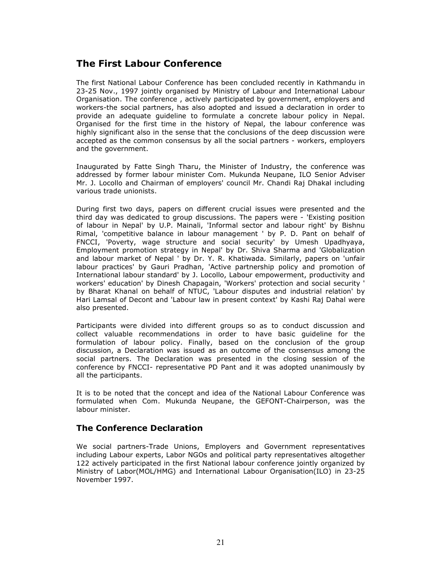## The First Labour Conference

The first National Labour Conference has been concluded recently in Kathmandu in 23-25 Nov., 1997 jointly organised by Ministry of Labour and International Labour Organisation. The conference , actively participated by government, employers and workers-the social partners, has also adopted and issued a declaration in order to provide an adequate guideline to formulate a concrete labour policy in Nepal. Organised for the first time in the history of Nepal, the labour conference was highly significant also in the sense that the conclusions of the deep discussion were accepted as the common consensus by all the social partners - workers, employers and the government.

Inaugurated by Fatte Singh Tharu, the Minister of Industry, the conference was addressed by former labour minister Com. Mukunda Neupane, ILO Senior Adviser Mr. J. Locollo and Chairman of employers' council Mr. Chandi Raj Dhakal including various trade unionists.

During first two days, papers on different crucial issues were presented and the third day was dedicated to group discussions. The papers were - 'Existing position of labour in Nepal' by U.P. Mainali, 'Informal sector and labour right' by Bishnu Rimal, 'competitive balance in labour management ' by P. D. Pant on behalf of FNCCI, 'Poverty, wage structure and social security' by Umesh Upadhyaya, Employment promotion strategy in Nepal' by Dr. Shiva Sharma and 'Globalization and labour market of Nepal ' by Dr. Y. R. Khatiwada. Similarly, papers on 'unfair labour practices' by Gauri Pradhan, 'Active partnership policy and promotion of International labour standard' by J. Locollo, Labour empowerment, productivity and workers' education' by Dinesh Chapagain, 'Workers' protection and social security ' by Bharat Khanal on behalf of NTUC, 'Labour disputes and industrial relation' by Hari Lamsal of Decont and 'Labour law in present context' by Kashi Raj Dahal were also presented.

Participants were divided into different groups so as to conduct discussion and collect valuable recommendations in order to have basic guideline for the formulation of labour policy. Finally, based on the conclusion of the group discussion, a Declaration was issued as an outcome of the consensus among the social partners. The Declaration was presented in the closing session of the conference by FNCCI- representative PD Pant and it was adopted unanimously by all the participants.

It is to be noted that the concept and idea of the National Labour Conference was formulated when Com. Mukunda Neupane, the GEFONT-Chairperson, was the labour minister.

### The Conference Declaration

We social partners-Trade Unions, Employers and Government representatives including Labour experts, Labor NGOs and political party representatives altogether 122 actively participated in the first National labour conference jointly organized by Ministry of Labor(MOL/HMG) and International Labour Organisation(ILO) in 23-25 November 1997.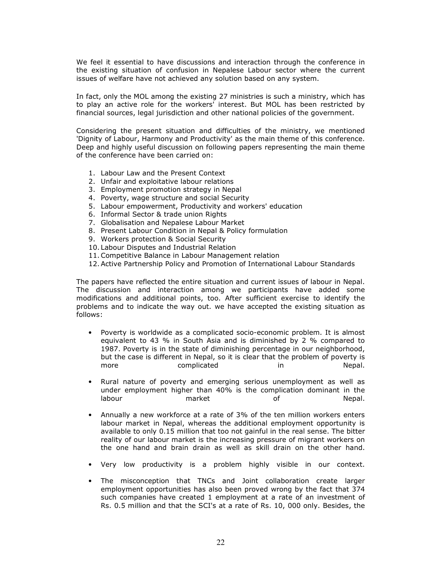We feel it essential to have discussions and interaction through the conference in the existing situation of confusion in Nepalese Labour sector where the current issues of welfare have not achieved any solution based on any system.

In fact, only the MOL among the existing 27 ministries is such a ministry, which has to play an active role for the workers' interest. But MOL has been restricted by financial sources, legal jurisdiction and other national policies of the government.

Considering the present situation and difficulties of the ministry, we mentioned 'Dignity of Labour, Harmony and Productivity' as the main theme of this conference. Deep and highly useful discussion on following papers representing the main theme of the conference have been carried on:

- 1. Labour Law and the Present Context
- 2. Unfair and exploitative labour relations
- 3. Employment promotion strategy in Nepal
- 4. Poverty, wage structure and social Security
- 5. Labour empowerment, Productivity and workers' education
- 6. Informal Sector & trade union Rights
- 7. Globalisation and Nepalese Labour Market
- 8. Present Labour Condition in Nepal & Policy formulation
- 9. Workers protection & Social Security
- 10. Labour Disputes and Industrial Relation
- 11.Competitive Balance in Labour Management relation
- 12.Active Partnership Policy and Promotion of International Labour Standards

The papers have reflected the entire situation and current issues of labour in Nepal. The discussion and interaction among we participants have added some modifications and additional points, too. After sufficient exercise to identify the problems and to indicate the way out. we have accepted the existing situation as follows:

- Poverty is worldwide as a complicated socio-economic problem. It is almost equivalent to 43 % in South Asia and is diminished by 2 % compared to 1987. Poverty is in the state of diminishing percentage in our neighborhood, but the case is different in Nepal, so it is clear that the problem of poverty is more complicated in more complicated in
- Rural nature of poverty and emerging serious unemployment as well as under employment higher than 40% is the complication dominant in the labour market of Nepal.
- Annually a new workforce at a rate of 3% of the ten million workers enters labour market in Nepal, whereas the additional employment opportunity is available to only 0.15 million that too not gainful in the real sense. The bitter reality of our labour market is the increasing pressure of migrant workers on the one hand and brain drain as well as skill drain on the other hand.
- Very low productivity is a problem highly visible in our context.
- The misconception that TNCs and Joint collaboration create larger employment opportunities has also been proved wrong by the fact that 374 such companies have created 1 employment at a rate of an investment of Rs. 0.5 million and that the SCI's at a rate of Rs. 10, 000 only. Besides, the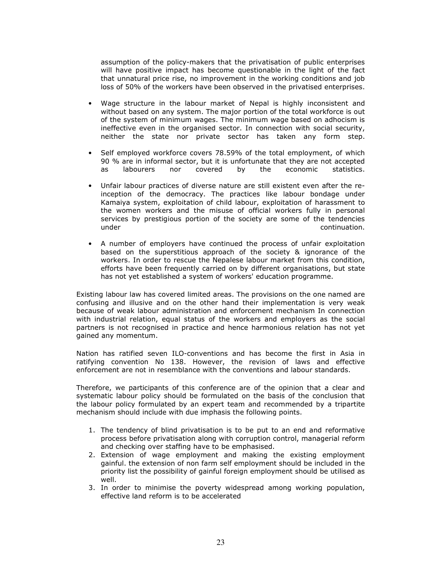assumption of the policy-makers that the privatisation of public enterprises will have positive impact has become questionable in the light of the fact that unnatural price rise, no improvement in the working conditions and job loss of 50% of the workers have been observed in the privatised enterprises.

- Wage structure in the labour market of Nepal is highly inconsistent and without based on any system. The major portion of the total workforce is out of the system of minimum wages. The minimum wage based on adhocism is ineffective even in the organised sector. In connection with social security, neither the state nor private sector has taken any form step.
- Self employed workforce covers 78.59% of the total employment, of which 90 % are in informal sector, but it is unfortunate that they are not accepted as labourers nor covered by the economic statistics.
- Unfair labour practices of diverse nature are still existent even after the reinception of the democracy. The practices like labour bondage under Kamaiya system, exploitation of child labour, exploitation of harassment to the women workers and the misuse of official workers fully in personal services by prestigious portion of the society are some of the tendencies under continuation.
- A number of employers have continued the process of unfair exploitation based on the superstitious approach of the society & ignorance of the workers. In order to rescue the Nepalese labour market from this condition, efforts have been frequently carried on by different organisations, but state has not yet established a system of workers' education programme.

Existing labour law has covered limited areas. The provisions on the one named are confusing and illusive and on the other hand their implementation is very weak because of weak labour administration and enforcement mechanism In connection with industrial relation, equal status of the workers and employers as the social partners is not recognised in practice and hence harmonious relation has not yet gained any momentum.

Nation has ratified seven ILO-conventions and has become the first in Asia in ratifying convention No 138. However, the revision of laws and effective enforcement are not in resemblance with the conventions and labour standards.

Therefore, we participants of this conference are of the opinion that a clear and systematic labour policy should be formulated on the basis of the conclusion that the labour policy formulated by an expert team and recommended by a tripartite mechanism should include with due imphasis the following points.

- 1. The tendency of blind privatisation is to be put to an end and reformative process before privatisation along with corruption control, managerial reform and checking over staffing have to be emphasised.
- 2. Extension of wage employment and making the existing employment gainful. the extension of non farm self employment should be included in the priority list the possibility of gainful foreign employment should be utilised as well.
- 3. In order to minimise the poverty widespread among working population, effective land reform is to be accelerated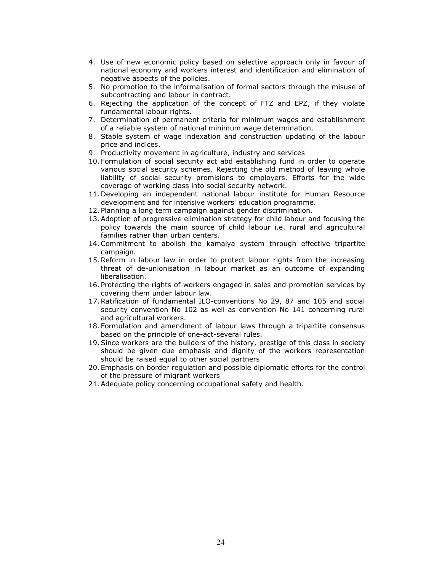- 4. Use of new economic policy based on selective approach only in favour of national economy and workers interest and identification and elimination of negative aspects of the policies.
- 5. No promotion to the informalisation of formal sectors through the misuse of subcontracting and labour in contract.
- 6. Rejecting the application of the concept of FTZ and EPZ, if they violate fundamental labour rights.
- 7. Determination of permanent criteria for minimum wages and establishment of a reliable system of national minimum wage determination.
- 8. Stable system of wage indexation and construction updating of the labour price and indices.
- 9. Productivity movement in agriculture, industry and services
- 10. Formulation of social security act abd establishing fund in order to operate various social security schemes. Rejecting the old method of leaving whole liability of social security promisions to employers. Efforts for the wide coverage of working class into social security network.
- 11. Developing an independent national labour institute for Human Resource development and for intensive workers' education programme.
- 12. Planning a long term campaign against gender discrimination.
- 13.Adoption of progressive elimination strategy for child labour and focusing the policy towards the main source of child labour i.e. rural and agricultural families rather than urban centers.
- 14.Commitment to abolish the kamaiya system through effective tripartite campaign.
- 15.Reform in labour law in order to protect labour rights from the increasing threat of de-unionisation in labour market as an outcome of expanding liberalisation.
- 16. Protecting the rights of workers engaged in sales and promotion services by covering them under labour law.
- 17.Ratification of fundamental ILO-conventions No 29, 87 and 105 and social security convention No 102 as well as convention No 141 concerning rural and agricultural workers.
- 18. Formulation and amendment of labour laws through a tripartite consensus based on the principle of one-act-several rules.
- 19.Since workers are the builders of the history, prestige of this class in society should be given due emphasis and dignity of the workers representation should be raised equal to other social partners
- 20. Emphasis on border regulation and possible diplomatic efforts for the control of the pressure of migrant workers
- 21.Adequate policy concerning occupational safety and health.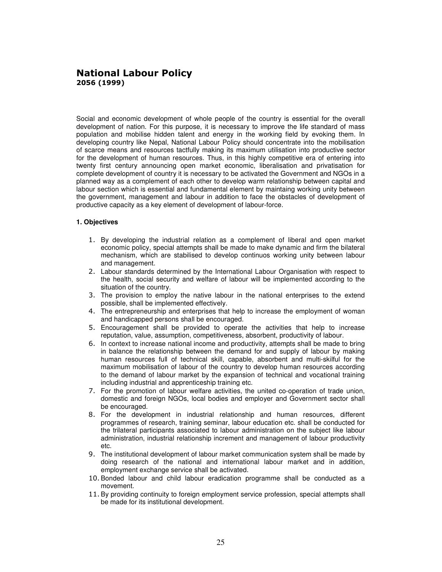### National Labour Policy 2056 (1999)

Social and economic development of whole people of the country is essential for the overall development of nation. For this purpose, it is necessary to improve the life standard of mass population and mobilise hidden talent and energy in the working field by evoking them. In developing country like Nepal, National Labour Policy should concentrate into the mobilisation of scarce means and resources tactfully making its maximum utilisation into productive sector for the development of human resources. Thus, in this highly competitive era of entering into twenty first century announcing open market economic, liberalisation and privatisation for complete development of country it is necessary to be activated the Government and NGOs in a planned way as a complement of each other to develop warm relationship between capital and labour section which is essential and fundamental element by maintaing working unity between the government, management and labour in addition to face the obstacles of development of productive capacity as a key element of development of labour-force.

#### **1. Objectives**

- 1. By developing the industrial relation as a complement of liberal and open market economic policy, special attempts shall be made to make dynamic and firm the bilateral mechanism, which are stabilised to develop continuos working unity between labour and management.
- 2. Labour standards determined by the International Labour Organisation with respect to the health, social security and welfare of labour will be implemented according to the situation of the country.
- 3. The provision to employ the native labour in the national enterprises to the extend possible, shall be implemented effectively.
- 4. The entrepreneurship and enterprises that help to increase the employment of woman and handicapped persons shall be encouraged.
- 5. Encouragement shall be provided to operate the activities that help to increase reputation, value, assumption, competitiveness, absorbent, productivity of labour.
- 6. In context to increase national income and productivity, attempts shall be made to bring in balance the relationship between the demand for and supply of labour by making human resources full of technical skill, capable, absorbent and multi-skilful for the maximum mobilisation of labour of the country to develop human resources according to the demand of labour market by the expansion of technical and vocational training including industrial and apprenticeship training etc.
- 7. For the promotion of labour welfare activities, the united co-operation of trade union, domestic and foreign NGOs, local bodies and employer and Government sector shall be encouraged.
- 8. For the development in industrial relationship and human resources, different programmes of research, training seminar, labour education etc. shall be conducted for the trilateral participants associated to labour administration on the subject like labour administration, industrial relationship increment and management of labour productivity etc.
- 9. The institutional development of labour market communication system shall be made by doing research of the national and international labour market and in addition, employment exchange service shall be activated.
- 10. Bonded labour and child labour eradication programme shall be conducted as a movement.
- 11. By providing continuity to foreign employment service profession, special attempts shall be made for its institutional development.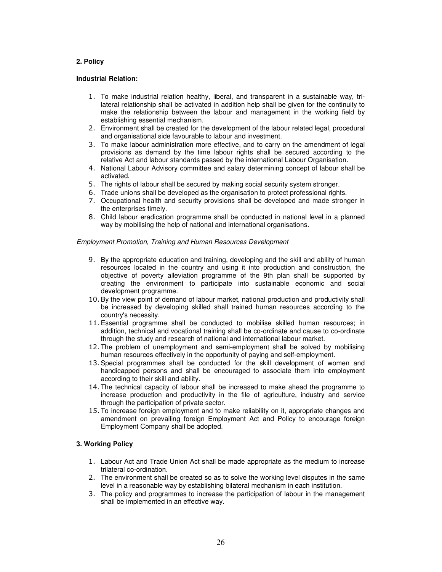#### **2. Policy**

#### **Industrial Relation:**

- 1. To make industrial relation healthy, liberal, and transparent in a sustainable way, trilateral relationship shall be activated in addition help shall be given for the continuity to make the relationship between the labour and management in the working field by establishing essential mechanism.
- 2. Environment shall be created for the development of the labour related legal, procedural and organisational side favourable to labour and investment.
- 3. To make labour administration more effective, and to carry on the amendment of legal provisions as demand by the time labour rights shall be secured according to the relative Act and labour standards passed by the international Labour Organisation.
- 4. National Labour Advisory committee and salary determining concept of labour shall be activated.
- 5. The rights of labour shall be secured by making social security system stronger.
- 6. Trade unions shall be developed as the organisation to protect professional rights.
- 7. Occupational health and security provisions shall be developed and made stronger in the enterprises timely.
- 8. Child labour eradication programme shall be conducted in national level in a planned way by mobilising the help of national and international organisations.

#### Employment Promotion, Training and Human Resources Development

- 9. By the appropriate education and training, developing and the skill and ability of human resources located in the country and using it into production and construction, the objective of poverty alleviation programme of the 9th plan shall be supported by creating the environment to participate into sustainable economic and social development programme.
- 10. By the view point of demand of labour market, national production and productivity shall be increased by developing skilled shall trained human resources according to the country's necessity.
- 11. Essential programme shall be conducted to mobilise skilled human resources; in addition, technical and vocational training shall be co-ordinate and cause to co-ordinate through the study and research of national and international labour market.
- 12. The problem of unemployment and semi-employment shall be solved by mobilising human resources effectively in the opportunity of paying and self-employment.
- 13. Special programmes shall be conducted for the skill development of women and handicapped persons and shall be encouraged to associate them into employment according to their skill and ability.
- 14. The technical capacity of labour shall be increased to make ahead the programme to increase production and productivity in the file of agriculture, industry and service through the participation of private sector.
- 15. To increase foreign employment and to make reliability on it, appropriate changes and amendment on prevailing foreign Employment Act and Policy to encourage foreign Employment Company shall be adopted.

#### **3. Working Policy**

- 1. Labour Act and Trade Union Act shall be made appropriate as the medium to increase trilateral co-ordination.
- 2. The environment shall be created so as to solve the working level disputes in the same level in a reasonable way by establishing bilateral mechanism in each institution.
- 3. The policy and programmes to increase the participation of labour in the management shall be implemented in an effective way.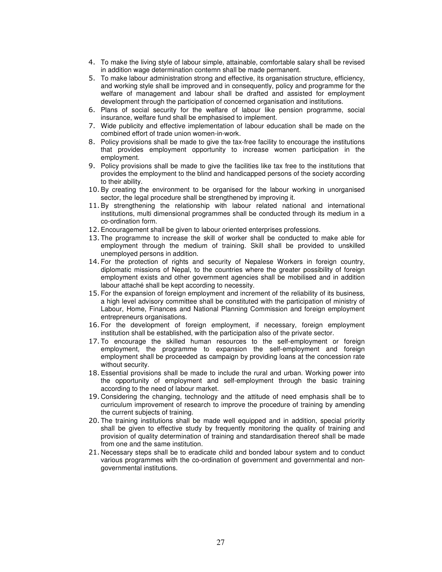- 4. To make the living style of labour simple, attainable, comfortable salary shall be revised in addition wage determination contemn shall be made permanent.
- 5. To make labour administration strong and effective, its organisation structure, efficiency, and working style shall be improved and in consequently, policy and programme for the welfare of management and labour shall be drafted and assisted for employment development through the participation of concerned organisation and institutions.
- 6. Plans of social security for the welfare of labour like pension programme, social insurance, welfare fund shall be emphasised to implement.
- 7. Wide publicity and effective implementation of labour education shall be made on the combined effort of trade union women-in-work.
- 8. Policy provisions shall be made to give the tax-free facility to encourage the institutions that provides employment opportunity to increase women participation in the employment.
- 9. Policy provisions shall be made to give the facilities like tax free to the institutions that provides the employment to the blind and handicapped persons of the society according to their ability.
- 10. By creating the environment to be organised for the labour working in unorganised sector, the legal procedure shall be strengthened by improving it.
- 11. By strengthening the relationship with labour related national and international institutions, multi dimensional programmes shall be conducted through its medium in a co-ordination form.
- 12. Encouragement shall be given to labour oriented enterprises professions.
- 13. The programme to increase the skill of worker shall be conducted to make able for employment through the medium of training. Skill shall be provided to unskilled unemployed persons in addition.
- 14. For the protection of rights and security of Nepalese Workers in foreign country, diplomatic missions of Nepal, to the countries where the greater possibility of foreign employment exists and other government agencies shall be mobilised and in addition labour attaché shall be kept according to necessity.
- 15. For the expansion of foreign employment and increment of the reliability of its business, a high level advisory committee shall be constituted with the participation of ministry of Labour, Home, Finances and National Planning Commission and foreign employment entrepreneurs organisations.
- 16. For the development of foreign employment, if necessary, foreign employment institution shall be established, with the participation also of the private sector.
- 17. To encourage the skilled human resources to the self-employment or foreign employment, the programme to expansion the self-employment and foreign employment shall be proceeded as campaign by providing loans at the concession rate without security.
- 18. Essential provisions shall be made to include the rural and urban. Working power into the opportunity of employment and self-employment through the basic training according to the need of labour market.
- 19. Considering the changing, technology and the attitude of need emphasis shall be to curriculum improvement of research to improve the procedure of training by amending the current subjects of training.
- 20. The training institutions shall be made well equipped and in addition, special priority shall be given to effective study by frequently monitoring the quality of training and provision of quality determination of training and standardisation thereof shall be made from one and the same institution.
- 21. Necessary steps shall be to eradicate child and bonded labour system and to conduct various programmes with the co-ordination of government and governmental and nongovernmental institutions.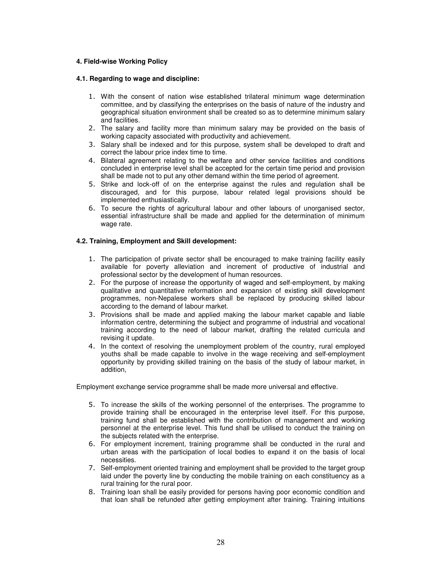#### **4. Field-wise Working Policy**

#### **4.1. Regarding to wage and discipline:**

- 1. With the consent of nation wise established trilateral minimum wage determination committee, and by classifying the enterprises on the basis of nature of the industry and geographical situation environment shall be created so as to determine minimum salary and facilities.
- 2. The salary and facility more than minimum salary may be provided on the basis of working capacity associated with productivity and achievement.
- 3. Salary shall be indexed and for this purpose, system shall be developed to draft and correct the labour price index time to time.
- 4. Bilateral agreement relating to the welfare and other service facilities and conditions concluded in enterprise level shall be accepted for the certain time period and provision shall be made not to put any other demand within the time period of agreement.
- 5. Strike and lock-off of on the enterprise against the rules and regulation shall be discouraged, and for this purpose, labour related legal provisions should be implemented enthusiastically.
- 6. To secure the rights of agricultural labour and other labours of unorganised sector, essential infrastructure shall be made and applied for the determination of minimum wage rate.

#### **4.2. Training, Employment and Skill development:**

- 1. The participation of private sector shall be encouraged to make training facility easily available for poverty alleviation and increment of productive of industrial and professional sector by the development of human resources.
- 2. For the purpose of increase the opportunity of waged and self-employment, by making qualitative and quantitative reformation and expansion of existing skill development programmes, non-Nepalese workers shall be replaced by producing skilled labour according to the demand of labour market.
- 3. Provisions shall be made and applied making the labour market capable and liable information centre, determining the subject and programme of industrial and vocational training according to the need of labour market, drafting the related curricula and revising it update.
- 4. In the context of resolving the unemployment problem of the country, rural employed youths shall be made capable to involve in the wage receiving and self-employment opportunity by providing skilled training on the basis of the study of labour market, in addition,

Employment exchange service programme shall be made more universal and effective.

- 5. To increase the skills of the working personnel of the enterprises. The programme to provide training shall be encouraged in the enterprise level itself. For this purpose, training fund shall be established with the contribution of management and working personnel at the enterprise level. This fund shall be utilised to conduct the training on the subjects related with the enterprise.
- 6. For employment increment, training programme shall be conducted in the rural and urban areas with the participation of local bodies to expand it on the basis of local necessities.
- 7. Self-employment oriented training and employment shall be provided to the target group laid under the poverty line by conducting the mobile training on each constituency as a rural training for the rural poor.
- 8. Training loan shall be easily provided for persons having poor economic condition and that loan shall be refunded after getting employment after training. Training intuitions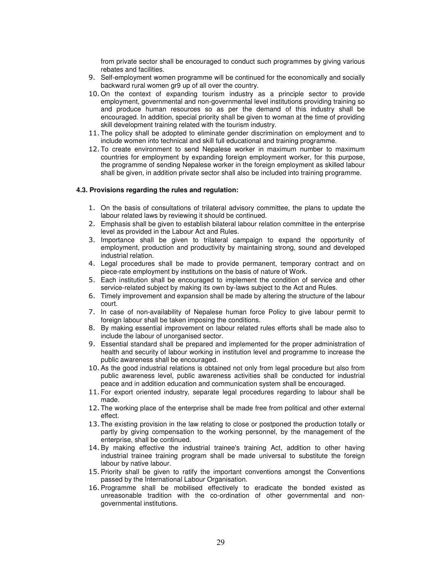from private sector shall be encouraged to conduct such programmes by giving various rebates and facilities.

- 9. Self-employment women programme will be continued for the economically and socially backward rural women gr9 up of all over the country.
- 10. On the context of expanding tourism industry as a principle sector to provide employment, governmental and non-governmental level institutions providing training so and produce human resources so as per the demand of this industry shall be encouraged. In addition, special priority shall be given to woman at the time of providing skill development training related with the tourism industry.
- 11. The policy shall be adopted to eliminate gender discrimination on employment and to include women into technical and skill full educational and training programme.
- 12. To create environment to send Nepalese worker in maximum number to maximum countries for employment by expanding foreign employment worker, for this purpose, the programme of sending Nepalese worker in the foreign employment as skilled labour shall be given, in addition private sector shall also be included into training programme.

#### **4.3. Provisions regarding the rules and regulation:**

- 1. On the basis of consultations of trilateral advisory committee, the plans to update the labour related laws by reviewing it should be continued.
- 2. Emphasis shall be given to establish bilateral labour relation committee in the enterprise level as provided in the Labour Act and Rules.
- 3. Importance shall be given to trilateral campaign to expand the opportunity of employment, production and productivity by maintaining strong, sound and developed industrial relation.
- 4. Legal procedures shall be made to provide permanent, temporary contract and on piece-rate employment by institutions on the basis of nature of Work.
- 5. Each institution shall be encouraged to implement the condition of service and other service-related subject by making its own by-laws subject to the Act and Rules.
- 6. Timely improvement and expansion shall be made by altering the structure of the labour court.
- 7. In case of non-availability of Nepalese human force Policy to give labour permit to foreign labour shall be taken imposing the conditions.
- 8. By making essential improvement on labour related rules efforts shall be made also to include the labour of unorganised sector.
- 9. Essential standard shall be prepared and implemented for the proper administration of health and security of labour working in institution level and programme to increase the public awareness shall be encouraged.
- 10. As the good industrial relations is obtained not only from legal procedure but also from public awareness level, public awareness activities shall be conducted for industrial peace and in addition education and communication system shall be encouraged.
- 11. For export oriented industry, separate legal procedures regarding to labour shall be made.
- 12. The working place of the enterprise shall be made free from political and other external effect.
- 13. The existing provision in the law relating to close or postponed the production totally or partly by giving compensation to the working personnel, by the management of the enterprise, shall be continued.
- 14. By making effective the industrial trainee's training Act, addition to other having industrial trainee training program shall be made universal to substitute the foreign labour by native labour.
- 15. Priority shall be given to ratify the important conventions amongst the Conventions passed by the International Labour Organisation.
- 16. Programme shall be mobilised effectively to eradicate the bonded existed as unreasonable tradition with the co-ordination of other governmental and nongovernmental institutions.